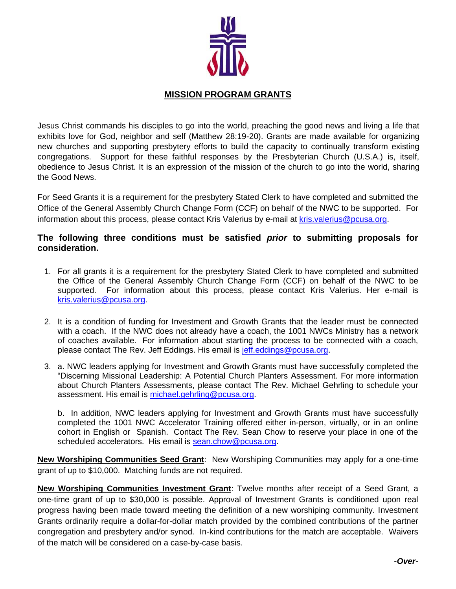

## **MISSION PROGRAM GRANTS**

Jesus Christ commands his disciples to go into the world, preaching the good news and living a life that exhibits love for God, neighbor and self (Matthew 28:19-20). Grants are made available for organizing new churches and supporting presbytery efforts to build the capacity to continually transform existing congregations. Support for these faithful responses by the Presbyterian Church (U.S.A.) is, itself, obedience to Jesus Christ. It is an expression of the mission of the church to go into the world, sharing the Good News.

For Seed Grants it is a requirement for the presbytery Stated Clerk to have completed and submitted the Office of the General Assembly Church Change Form (CCF) on behalf of the NWC to be supported. For information about this process, please contact Kris Valerius by e-mail at [kris.valerius@pcusa.org.](mailto:kris.valerius@pcusa.org)

## **The following three conditions must be satisfied** *prior* **to submitting proposals for consideration.**

- 1. For all grants it is a requirement for the presbytery Stated Clerk to have completed and submitted the Office of the General Assembly Church Change Form (CCF) on behalf of the NWC to be supported. For information about this process, please contact Kris Valerius. Her e-mail is [kris.valerius@pcusa.org.](mailto:kris.valerius@pcusa.org)
- 2. It is a condition of funding for Investment and Growth Grants that the leader must be connected with a coach. If the NWC does not already have a coach, the 1001 NWCs Ministry has a network of coaches available. For information about starting the process to be connected with a coach, please contact The Rev. Jeff Eddings. His email is [jeff.eddings@pcusa.org.](mailto:jeff.eddings@pcusa.org)
- 3. a. NWC leaders applying for Investment and Growth Grants must have successfully completed the "Discerning Missional Leadership: A Potential Church Planters Assessment. For more information about Church Planters Assessments, please contact The Rev. Michael Gehrling to schedule your assessment. His email is [michael.gehrling@pcusa.org.](mailto:michael.gehrling@pcusa.org)

b. In addition, NWC leaders applying for Investment and Growth Grants must have successfully completed the 1001 NWC Accelerator Training offered either in-person, virtually, or in an online cohort in English or Spanish. Contact The Rev. Sean Chow to reserve your place in one of the scheduled accelerators. His email is [sean.chow@pcusa.org.](mailto:sean.chow@pcusa.org)

**New Worshiping Communities Seed Grant**: New Worshiping Communities may apply for a one-time grant of up to \$10,000. Matching funds are not required.

**New Worshiping Communities Investment Grant**: Twelve months after receipt of a Seed Grant, a one-time grant of up to \$30,000 is possible. Approval of Investment Grants is conditioned upon real progress having been made toward meeting the definition of a new worshiping community. Investment Grants ordinarily require a dollar-for-dollar match provided by the combined contributions of the partner congregation and presbytery and/or synod. In-kind contributions for the match are acceptable. Waivers of the match will be considered on a case-by-case basis.